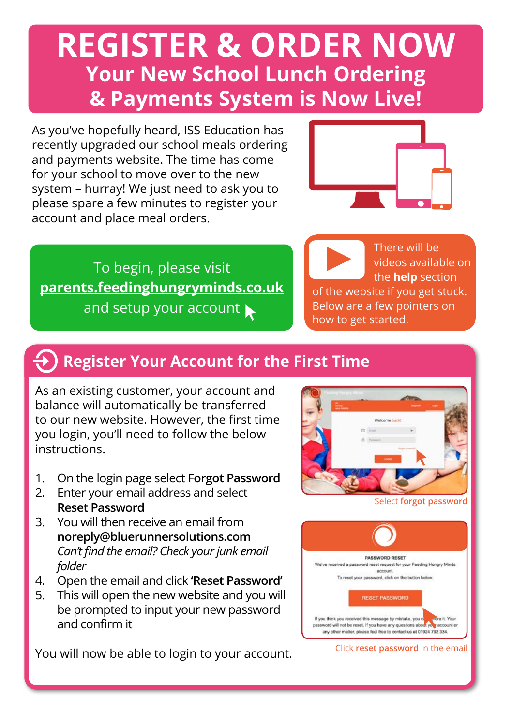# **REGISTER & ORDER NOW Your New School Lunch Ordering & Payments System is Now Live!**

As you've hopefully heard, ISS Education has recently upgraded our school meals ordering and payments website. The time has come for your school to move over to the new system – hurray! We just need to ask you to please spare a few minutes to register your account and place meal orders.



To begin, please visit **[parents.feedinghungryminds.co.uk](https://parents.feedinghungryminds.co.uk/login)** and setup your account



## **Register Your Account for the First Time**

As an existing customer, your account and balance will automatically be transferred to our new website. However, the first time you login, you'll need to follow the below instructions.

- 1. On the login page select **Forgot Password**
- 2. Enter your email address and select **Reset Password**
- 3. You will then receive an email from **noreply@bluerunnersolutions.com** *Can't find the email? Check your junk email folder*
- 4. Open the email and click **'Reset Password'**
- 5. This will open the new website and you will be prompted to input your new password and confirm it

You will now be able to login to your account.



Select **forgot password**



Click **reset password** in the email